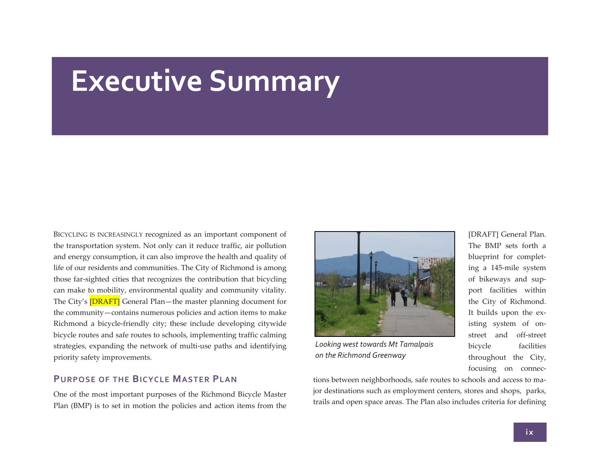# **Executive Summary**

BICYCLING IS INCREASINGLY recognized as an important componen<sup>t</sup> of the transportation system. Not only can it reduce traffic, air pollution and energy consumption, it can also improve the health and quality of life of our residents and communities. The City of Richmond is among those far‐sighted cities that recognizes the contribution that bicycling can make to mobility, environmental quality and community vitality. The City's [<mark>DRAFT]</mark> General Plan—the master planning document for the community—contains numerous policies and action items to make Richmond <sup>a</sup> bicycle‐friendly city; these include developing citywide bicycle routes and safe routes to schools, implementing traffic calming strategies, expanding the network of multi‐use paths and identifying priority safety improvements.

#### **PURPOSE OF THE BICYCLE MASTER PLAN**

One of the most important purposes of the Richmond Bicycle Master Plan (BMP) is to set in motion the policies and action items from the



*Looking west towards Mt Tamalpais on the Richmond Greenway*

[DRAFT] General Plan. The BMP sets forth <sup>a</sup> blueprint for complet‐ ing <sup>a</sup> 145‐mile system of bikeways and sup‐ por<sup>t</sup> facilities within the City of Richmond. It builds upon the ex‐ isting system of on‐ street and off‐street bicycle facilities throughout the City, focusing on connec‐

tions between neighborhoods, safe routes to schools and access to ma‐ jor destinations such as employment centers, stores and shops, parks, trails and open space areas. The Plan also includes criteria for defining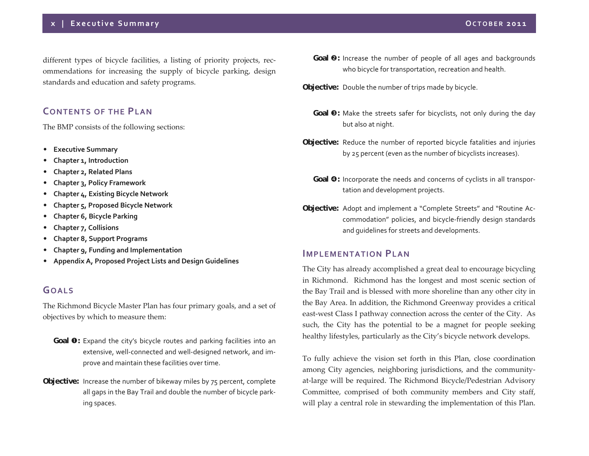different types of bicycle facilities, <sup>a</sup> listing of priority projects, rec‐ ommendations for increasing the supply of bicycle parking, design standards and education and safety programs.

## **CONTENTS OF THE PLAN**

The BMP consists of the following sections:

- $\bullet$ **Executive Summary**
- •**Chapter 1, Introduction**
- $\bullet$ **Chapter 2, Related Plans**
- $\bullet$ **Chapter 3, Policy Framework**
- •**Chapter 4, Existing Bicycle Network**
- $\bullet$ **Chapter 5, Proposed Bicycle Network**
- $\bullet$ **Chapter 6, Bicycle Parking**
- $\bullet$ **Chapter 7, Collisions**
- •**Chapter 8, Support Programs**
- $\bullet$ **Chapter 9, Funding and Implementation**
- $\bullet$ **Appendix A, Proposed Project Lists and Design Guidelines**

## **GOALS**

The Richmond Bicycle Master Plan has four primary goals, and <sup>a</sup> set of objectives by which to measure them:

- **Goal**  $\bullet$ : Expand the city's bicycle routes and parking facilities into an extensive, well-connected and well-designed network, and improve and maintain these facilities over time.
- **Objective:** Increase the number of bikeway miles by <sup>75</sup> percent, complete all gaps in the Bay Trail and double the number of bicycle park‐ ing spaces.
- **Goal @:** Increase the number of people of all ages and backgrounds who bicycle for transportation, recreation and health.
- **Objective:** Double the number of trips made by bicycle.
- **Goal <sup>6</sup>**: Make the streets safer for bicyclists, not only during the day but also at night.
- **Objective:** Reduce the number of reported bicycle fatalities and injuries by 25 percen<sup>t</sup> (even as the number of bicyclists increases).
- **Goal**  $\bullet$ **:** Incorporate the needs and concerns of cyclists in all transportation and development projects.
- **Objective:** Adopt and implement <sup>a</sup> "Complete Streets" and "Routine Ac‐ commodation" policies, and bicycle‐friendly design standards and guidelines for streets and developments.

#### **IMPLEMENTATION PLAN**

The City has already accomplished <sup>a</sup> grea<sup>t</sup> deal to encourage bicycling in Richmond. Richmond has the longest and most scenic section of the Bay Trail and is blessed with more shoreline than any other city in the Bay Area. In addition, the Richmond Greenway provides <sup>a</sup> critical east‐west Class I pathway connection across the center of the City. As such, the City has the potential to be <sup>a</sup> magne<sup>t</sup> for people seeking healthy lifestyles, particularly as the City's bicycle network develops.

To fully achieve the vision set forth in this Plan, close coordination among City agencies, neighboring jurisdictions, and the communityat‐large will be required. The Richmond Bicycle/Pedestrian Advisory Committee, comprised of both community members and City staff, will play <sup>a</sup> central role in stewarding the implementation of this Plan.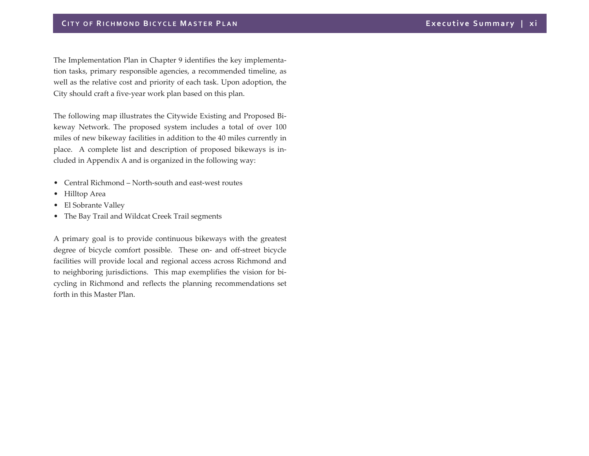The Implementation Plan in Chapter 9 identifies the key implementa‐ tion tasks, primary responsible agencies, <sup>a</sup> recommended timeline, as well as the relative cost and priority of each task. Upon adoption, the City should craft <sup>a</sup> five‐year work plan based on this plan.

The following map illustrates the Citywide Existing and Proposed Bi‐ keway Network. The proposed system includes <sup>a</sup> total of over 100 miles of new bikeway facilities in addition to the 40 miles currently in place. A complete list and description of proposed bikeways is in‐ cluded in Appendix A and is organized in the following way:

- Central Richmond North‐south and east‐west routes
- Hilltop Area
- El Sobrante Valley
- The Bay Trail and Wildcat Creek Trail segments

A primary goal is to provide continuous bikeways with the greatest degree of bicycle comfort possible. These on‐ and off‐street bicycle facilities will provide local and regional access across Richmond and to neighboring jurisdictions. This map exemplifies the vision for bi‐ cycling in Richmond and reflects the planning recommendations set forth in this Master Plan.